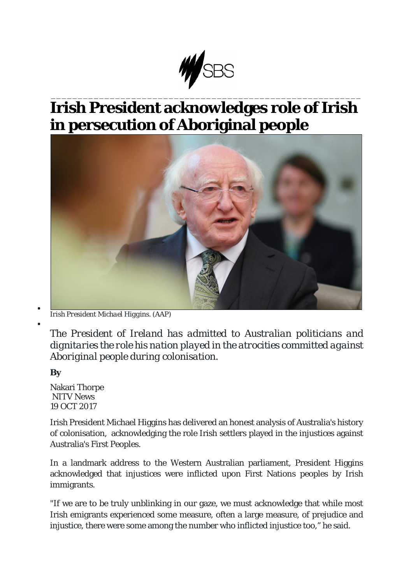

## \_\_\_\_\_\_\_\_\_\_\_\_\_\_\_\_\_\_\_\_\_\_\_\_\_\_\_\_\_\_\_\_\_\_\_\_\_\_\_\_\_\_\_\_\_\_\_\_\_\_\_\_\_\_\_\_\_\_ **Irish President acknowledges role of Irish in persecution of Aboriginal people**



<sup>•</sup> *Irish President Michael Higgins. (AAP)*

*The President of Ireland has admitted to Australian politicians and dignitaries the role his nation played in the atrocities committed against Aboriginal people during colonisation.*

**By**

•

Nakari Thorpe NITV News 19 OCT 2017

Irish President Michael Higgins has delivered an honest analysis of Australia's history of colonisation, acknowledging the role Irish settlers played in the injustices against Australia's First Peoples.

In a landmark address to the Western Australian parliament, President Higgins acknowledged that injustices were inflicted upon First Nations peoples by Irish immigrants.

"If we are to be truly unblinking in our gaze, we must acknowledge that while most Irish emigrants experienced some measure, often a large measure, of prejudice and injustice, there were some among the number who inflicted injustice too," he said.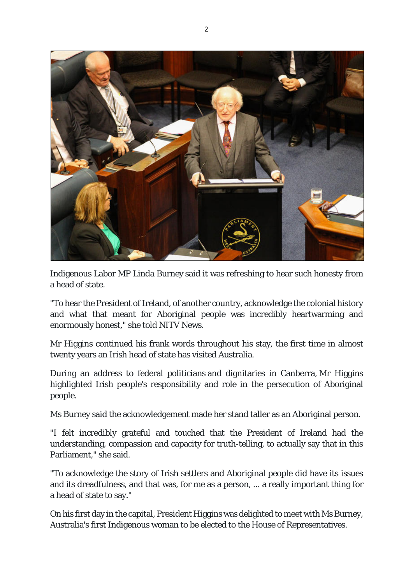

Indigenous Labor MP Linda Burney said it was refreshing to hear such honesty from a head of state.

"To hear the President of Ireland, of another country, acknowledge the colonial history and what that meant for Aboriginal people was incredibly heartwarming and enormously honest," she told NITV News.

Mr Higgins continued his frank words throughout his stay, the first time in almost twenty years an Irish head of state has visited Australia.

During an address to federal politicians and dignitaries in Canberra, Mr Higgins highlighted Irish people's responsibility and role in the persecution of Aboriginal people.

Ms Burney said the acknowledgement made her stand taller as an Aboriginal person.

"I felt incredibly grateful and touched that the President of Ireland had the understanding, compassion and capacity for truth-telling, to actually say that in this Parliament," she said.

"To acknowledge the story of Irish settlers and Aboriginal people did have its issues and its dreadfulness, and that was, for me as a person, ... a really important thing for a head of state to say."

On his first day in the capital, President Higgins was delighted to meet with Ms Burney, Australia's first Indigenous woman to be elected to the House of Representatives.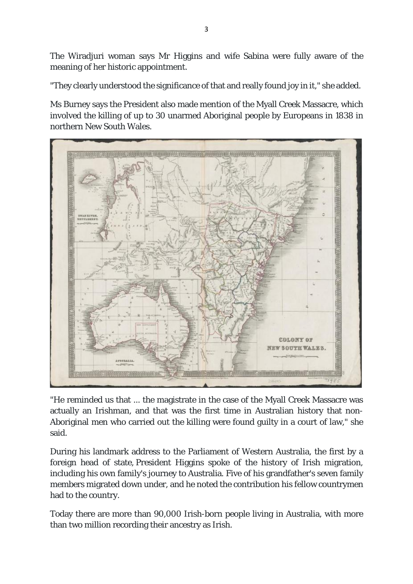The Wiradjuri woman says Mr Higgins and wife Sabina were fully aware of the meaning of her historic appointment.

"They clearly understood the significance of that and really found joy in it," she added.

Ms Burney says the President also made mention of the Myall Creek Massacre, which involved the killing of up to 30 unarmed Aboriginal people by Europeans in 1838 in northern New South Wales.



"He reminded us that ... the magistrate in the case of the Myall Creek Massacre was actually an Irishman, and that was the first time in Australian history that non-Aboriginal men who carried out the killing were found guilty in a court of law," she said.

During his landmark address to the Parliament of Western Australia, the first by a foreign head of state, President Higgins spoke of the history of Irish migration, including his own family's journey to Australia. Five of his grandfather's seven family members migrated down under, and he noted the contribution his fellow countrymen had to the country.

Today there are more than 90,000 Irish-born people living in Australia, with more than two million recording their ancestry as Irish.